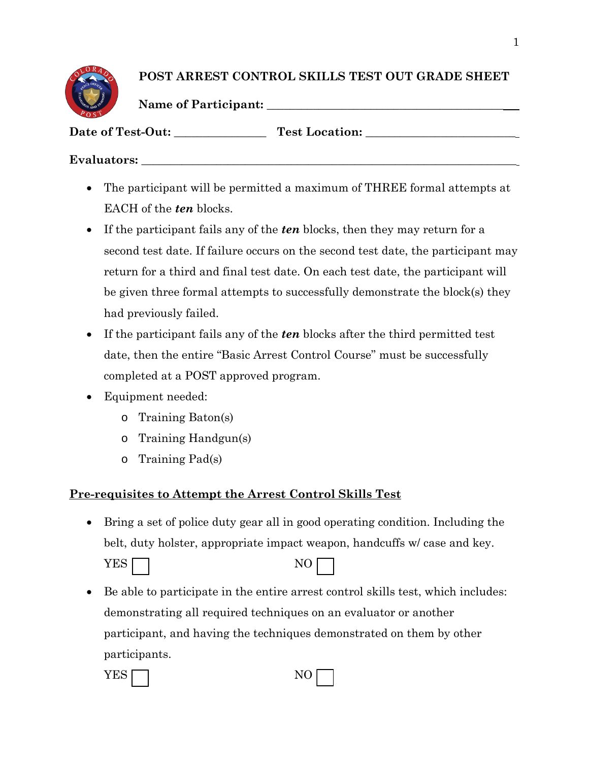## **POST ARREST CONTROL SKILLS TEST OUT GRADE SHEET**

**Name of Participant: \_\_\_\_\_\_\_\_\_\_\_\_\_\_\_\_\_\_\_\_\_\_\_\_\_\_\_\_\_\_\_\_\_\_\_\_\_\_\_\_\_**

Date of Test-Out: Test Location:

## **Evaluators: \_\_\_\_\_\_\_\_\_\_\_\_\_\_\_\_\_\_\_\_\_\_\_\_\_\_\_\_\_\_\_\_\_\_\_\_\_\_\_\_\_\_\_\_\_\_\_\_\_\_\_\_\_\_\_\_\_\_\_\_\_\_\_\_\_**

- The participant will be permitted a maximum of THREE formal attempts at EACH of the *ten* blocks.
- If the participant fails any of the *ten* blocks, then they may return for a second test date. If failure occurs on the second test date, the participant may return for a third and final test date. On each test date, the participant will be given three formal attempts to successfully demonstrate the block(s) they had previously failed.
- If the participant fails any of the *ten* blocks after the third permitted test date, then the entire "Basic Arrest Control Course" must be successfully completed at a POST approved program.
- Equipment needed:
	- o Training Baton(s)
	- o Training Handgun(s)
	- o Training Pad(s)

# **Pre-requisites to Attempt the Arrest Control Skills Test**

• Bring a set of police duty gear all in good operating condition. Including the belt, duty holster, appropriate impact weapon, handcuffs w/ case and key.

**YES** 

• Be able to participate in the entire arrest control skills test, which includes: demonstrating all required techniques on an evaluator or another participant, and having the techniques demonstrated on them by other participants.

| <b>YES</b><br>NO <sub>1</sub><br>. <u>.</u> |
|---------------------------------------------|
|---------------------------------------------|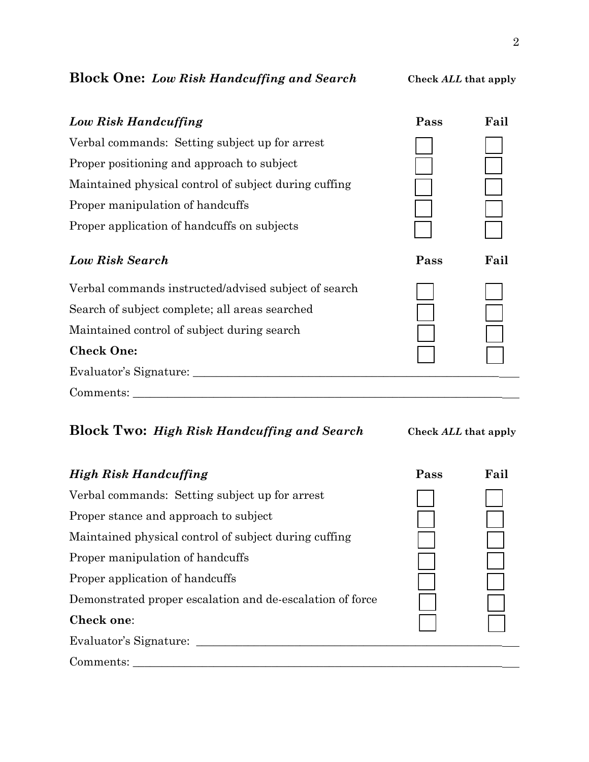# **Block One:** *Low Risk Handcuffing and Search* **Check** *ALL* **that apply**

| Low Risk Handcuffing                                  | Pass | Fail |
|-------------------------------------------------------|------|------|
| Verbal commands: Setting subject up for arrest        |      |      |
| Proper positioning and approach to subject            |      |      |
| Maintained physical control of subject during cuffing |      |      |
| Proper manipulation of handcuffs                      |      |      |
| Proper application of handcuffs on subjects           |      |      |
| <b>Low Risk Search</b>                                | Pass | Fail |
| Verbal commands instructed/advised subject of search  |      |      |
| Search of subject complete; all areas searched        |      |      |
| Maintained control of subject during search           |      |      |
| <b>Check One:</b>                                     |      |      |
| Evaluator's Signature:                                |      |      |
| Comments:                                             |      |      |

# **Block Two:** *High Risk Handcuffing and Search* **Check** *ALL* **that apply**

| <b>High Risk Handcuffing</b>                              | Pass | Fail |
|-----------------------------------------------------------|------|------|
| Verbal commands: Setting subject up for arrest            |      |      |
| Proper stance and approach to subject                     |      |      |
| Maintained physical control of subject during cuffing     |      |      |
| Proper manipulation of handcuffs                          |      |      |
| Proper application of handcuffs                           |      |      |
| Demonstrated proper escalation and de-escalation of force |      |      |
| Check one:                                                |      |      |
| Evaluator's Signature:                                    |      |      |
| Comments:                                                 |      |      |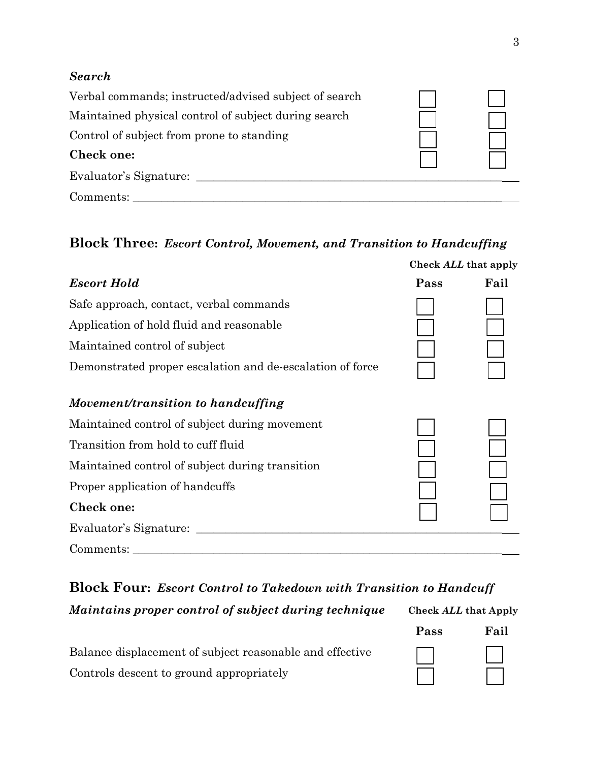### *Search*

| Verbal commands; instructed/advised subject of search |  |
|-------------------------------------------------------|--|
| Maintained physical control of subject during search  |  |
| Control of subject from prone to standing             |  |
| Check one:                                            |  |
| Evaluator's Signature:                                |  |
| Comments:                                             |  |

## **Block Three:** *Escort Control, Movement, and Transition to Handcuffing*

|                                                           |      | Check ALL that apply |
|-----------------------------------------------------------|------|----------------------|
| <b>Escort Hold</b>                                        | Pass | Fail                 |
| Safe approach, contact, verbal commands                   |      |                      |
| Application of hold fluid and reasonable                  |      |                      |
| Maintained control of subject                             |      |                      |
| Demonstrated proper escalation and de-escalation of force |      |                      |
| Movement/transition to handcuffing                        |      |                      |
| Maintained control of subject during movement             |      |                      |
| Transition from hold to cuff fluid                        |      |                      |
| Maintained control of subject during transition           |      |                      |
| Proper application of handcuffs                           |      |                      |
| Check one:                                                |      |                      |
| Evaluator's Signature:                                    |      |                      |
| Comments:                                                 |      |                      |

# **Block Four:** *Escort Control to Takedown with Transition to Handcuff*

*Maintains proper control of subject during technique* **Check** *ALL* **that Apply Fail Pass** Balance displacement of subject reasonable and effective  $\overline{\phantom{a}}$ 

Controls descent to ground appropriately

| ass | r ai |
|-----|------|
|     |      |
|     |      |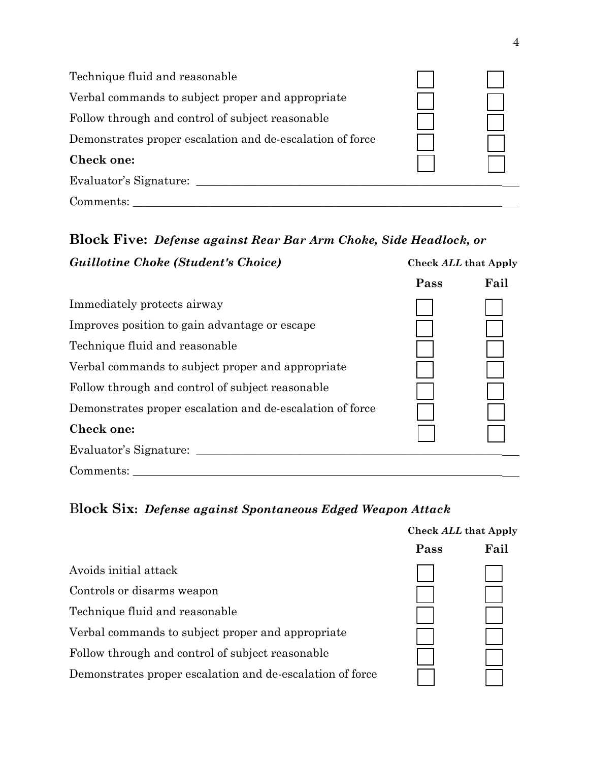| Technique fluid and reasonable                            |  |
|-----------------------------------------------------------|--|
| Verbal commands to subject proper and appropriate         |  |
| Follow through and control of subject reasonable          |  |
| Demonstrates proper escalation and de-escalation of force |  |
| Check one:                                                |  |
| Evaluator's Signature:                                    |  |
| Comments:                                                 |  |

#### **Block Five:** *Defense against Rear Bar Arm Choke, Side Headlock, or* **Check** *ALL* **that Apply** *Guillotine Choke (Student's Choice)*

|                                                           | Pass | Fail |
|-----------------------------------------------------------|------|------|
| Immediately protects airway                               |      |      |
| Improves position to gain advantage or escape             |      |      |
| Technique fluid and reasonable                            |      |      |
| Verbal commands to subject proper and appropriate         |      |      |
| Follow through and control of subject reasonable          |      |      |
| Demonstrates proper escalation and de-escalation of force |      |      |
| Check one:                                                |      |      |
| Evaluator's Signature:                                    |      |      |
| Comments:                                                 |      |      |

# B**lock Six:** *Defense against Spontaneous Edged Weapon Attack*

|                                                           | Check ALL that Apply |      |
|-----------------------------------------------------------|----------------------|------|
|                                                           | Pass                 | Fail |
| Avoids initial attack                                     |                      |      |
| Controls or disarms weapon                                |                      |      |
| Technique fluid and reasonable                            |                      |      |
| Verbal commands to subject proper and appropriate         |                      |      |
| Follow through and control of subject reasonable          |                      |      |
| Demonstrates proper escalation and de-escalation of force |                      |      |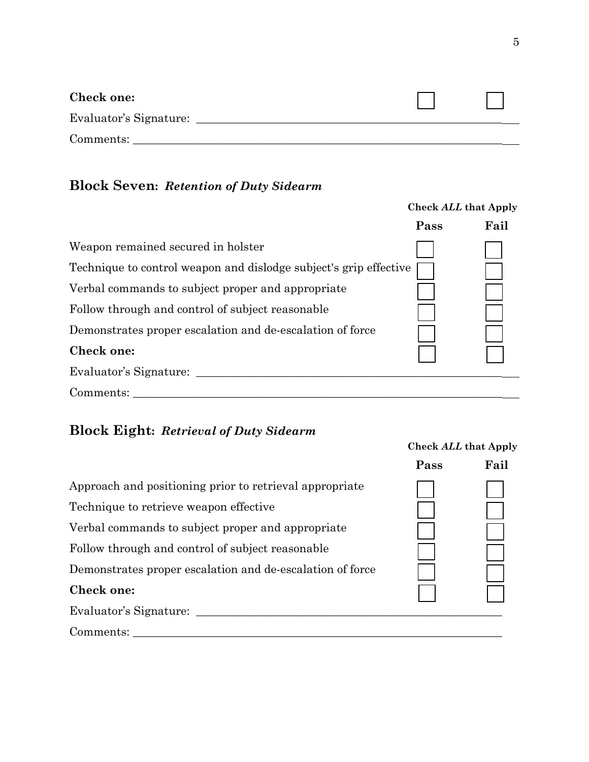| Check one:             |  |
|------------------------|--|
| Evaluator's Signature: |  |
| Comments:              |  |

# **Block Seven:** *Retention of Duty Sidearm*

|                                                                   |      | <b>Check ALL that Apply</b> |
|-------------------------------------------------------------------|------|-----------------------------|
|                                                                   | Pass | Fail                        |
| Weapon remained secured in holster                                |      |                             |
| Technique to control weapon and dislodge subject's grip effective |      |                             |
| Verbal commands to subject proper and appropriate                 |      |                             |
| Follow through and control of subject reasonable                  |      |                             |
| Demonstrates proper escalation and de-escalation of force         |      |                             |
| Check one:                                                        |      |                             |
| Evaluator's Signature:                                            |      |                             |
| Comments:                                                         |      |                             |

# **Block Eight:** *Retrieval of Duty Sidearm*

|                                                           | Pass | Fail |
|-----------------------------------------------------------|------|------|
| Approach and positioning prior to retrieval appropriate   |      |      |
| Technique to retrieve weapon effective                    |      |      |
| Verbal commands to subject proper and appropriate         |      |      |
| Follow through and control of subject reasonable          |      |      |
| Demonstrates proper escalation and de-escalation of force |      |      |
| <b>Check one:</b>                                         |      |      |
| Evaluator's Signature:                                    |      |      |
| Comments:                                                 |      |      |

### **Check** *ALL* **that Apply**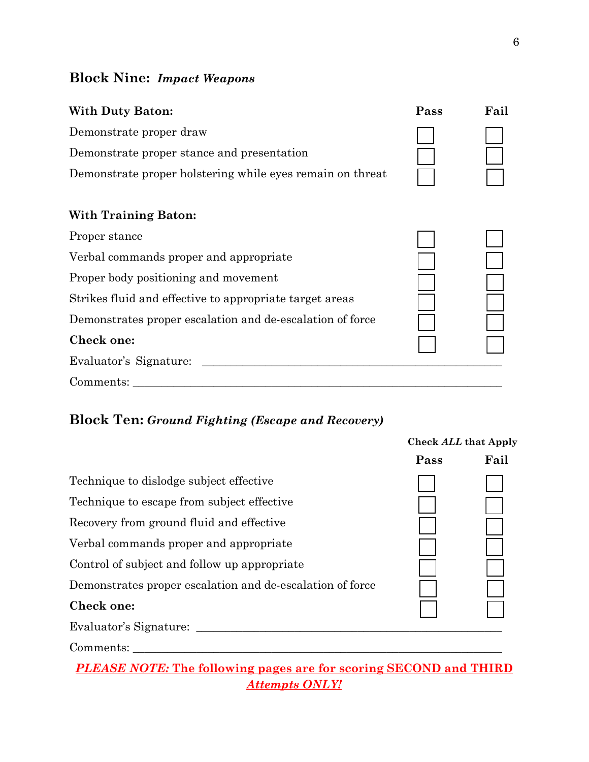## **Block Nine:** *Impact Weapons*

# **Pass Fail With Duty Baton:** Demonstrate proper draw Demonstrate proper stance and presentation Demonstrate proper holstering while eyes remain on threat **With Training Baton:** Proper stance Verbal commands proper and appropriate Proper body positioning and movement Strikes fluid and effective to appropriate target areas Demonstrates proper escalation and de-escalation of force **Check one:**  Evaluator's Signature: \_\_\_\_\_\_\_\_\_\_\_\_\_\_\_\_\_\_\_\_\_\_\_\_\_\_\_\_\_\_\_\_\_\_\_\_\_\_\_\_\_\_\_\_\_\_\_\_\_\_\_\_ Comments: \_\_\_\_\_\_\_\_\_\_\_\_\_\_\_\_\_\_\_\_\_\_\_\_\_\_\_\_\_\_\_\_\_\_\_\_\_\_\_\_\_\_\_\_\_\_\_\_\_\_\_\_\_\_\_\_\_\_\_\_\_\_\_\_

## **Block Ten:** *Ground Fighting (Escape and Recovery)*

|                                                           | <b>Check ALL that Apply</b> |      |
|-----------------------------------------------------------|-----------------------------|------|
|                                                           | Pass                        | Fail |
| Technique to dislodge subject effective                   |                             |      |
| Technique to escape from subject effective                |                             |      |
| Recovery from ground fluid and effective                  |                             |      |
| Verbal commands proper and appropriate                    |                             |      |
| Control of subject and follow up appropriate              |                             |      |
| Demonstrates proper escalation and de-escalation of force |                             |      |
| Check one:                                                |                             |      |
| Evaluator's Signature:                                    |                             |      |
| Comments:                                                 |                             |      |

# *PLEASE NOTE:* **The following pages are for scoring SECOND and THIRD** *Attempts ONLY!*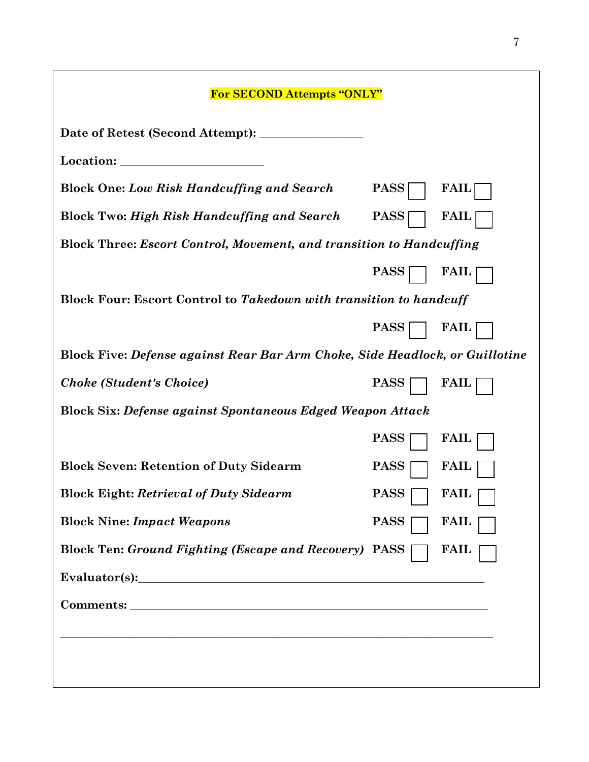| <b>For SECOND Attempts "ONLY"</b>                                                                                                                                                                                             |                            |  |  |
|-------------------------------------------------------------------------------------------------------------------------------------------------------------------------------------------------------------------------------|----------------------------|--|--|
| Date of Retest (Second Attempt): ___                                                                                                                                                                                          |                            |  |  |
| Location:                                                                                                                                                                                                                     |                            |  |  |
| <b>Block One: Low Risk Handcuffing and Search</b>                                                                                                                                                                             | <b>PASS</b><br><b>FAIL</b> |  |  |
| <b>Block Two: High Risk Handcuffing and Search</b>                                                                                                                                                                            | <b>PASS</b><br><b>FAIL</b> |  |  |
| Block Three: Escort Control, Movement, and transition to Handcuffing                                                                                                                                                          |                            |  |  |
|                                                                                                                                                                                                                               | <b>PASS</b><br><b>FAIL</b> |  |  |
| Block Four: Escort Control to Takedown with transition to handcuff                                                                                                                                                            |                            |  |  |
|                                                                                                                                                                                                                               | <b>PASS</b><br><b>FAIL</b> |  |  |
| Block Five: Defense against Rear Bar Arm Choke, Side Headlock, or Guillotine                                                                                                                                                  |                            |  |  |
| <b>Choke (Student's Choice)</b>                                                                                                                                                                                               | <b>PASS</b><br><b>FAIL</b> |  |  |
| <b>Block Six: Defense against Spontaneous Edged Weapon Attack</b>                                                                                                                                                             |                            |  |  |
|                                                                                                                                                                                                                               | <b>PASS</b><br><b>FAIL</b> |  |  |
| <b>Block Seven: Retention of Duty Sidearm</b>                                                                                                                                                                                 | <b>PASS</b><br><b>FAIL</b> |  |  |
| <b>Block Eight: Retrieval of Duty Sidearm</b>                                                                                                                                                                                 | <b>PASS</b><br><b>FAIL</b> |  |  |
| <b>Block Nine: Impact Weapons</b>                                                                                                                                                                                             | <b>PASS</b><br><b>FAIL</b> |  |  |
| <b>Block Ten: Ground Fighting (Escape and Recovery) PASS</b>                                                                                                                                                                  | <b>FAIL</b>                |  |  |
| Evaluator(s): Note that the set of the set of the set of the set of the set of the set of the set of the set of the set of the set of the set of the set of the set of the set of the set of the set of the set of the set of |                            |  |  |
|                                                                                                                                                                                                                               |                            |  |  |
|                                                                                                                                                                                                                               |                            |  |  |
|                                                                                                                                                                                                                               |                            |  |  |
|                                                                                                                                                                                                                               |                            |  |  |